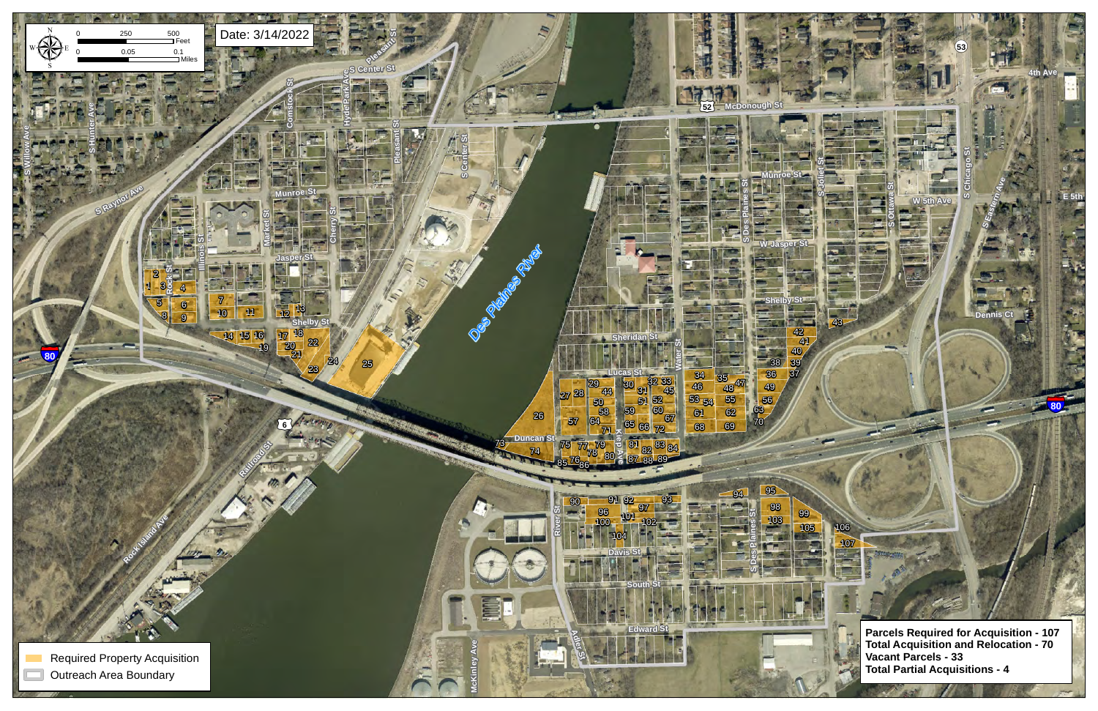§¨¦**80**

¬«**53**

**th Ave** 

**4th Ave**

**E** 5th

**Dennis Ct**

**S Ottawa St**

**S Eastern Ave**

**SChica goSt**



£¤**52** ¬«**53 Parcels Required for Acquisition - 107 Total Acquisition and Relocation - 70 Vacant Parcels - 33 Total Partial Acquisitions - 4**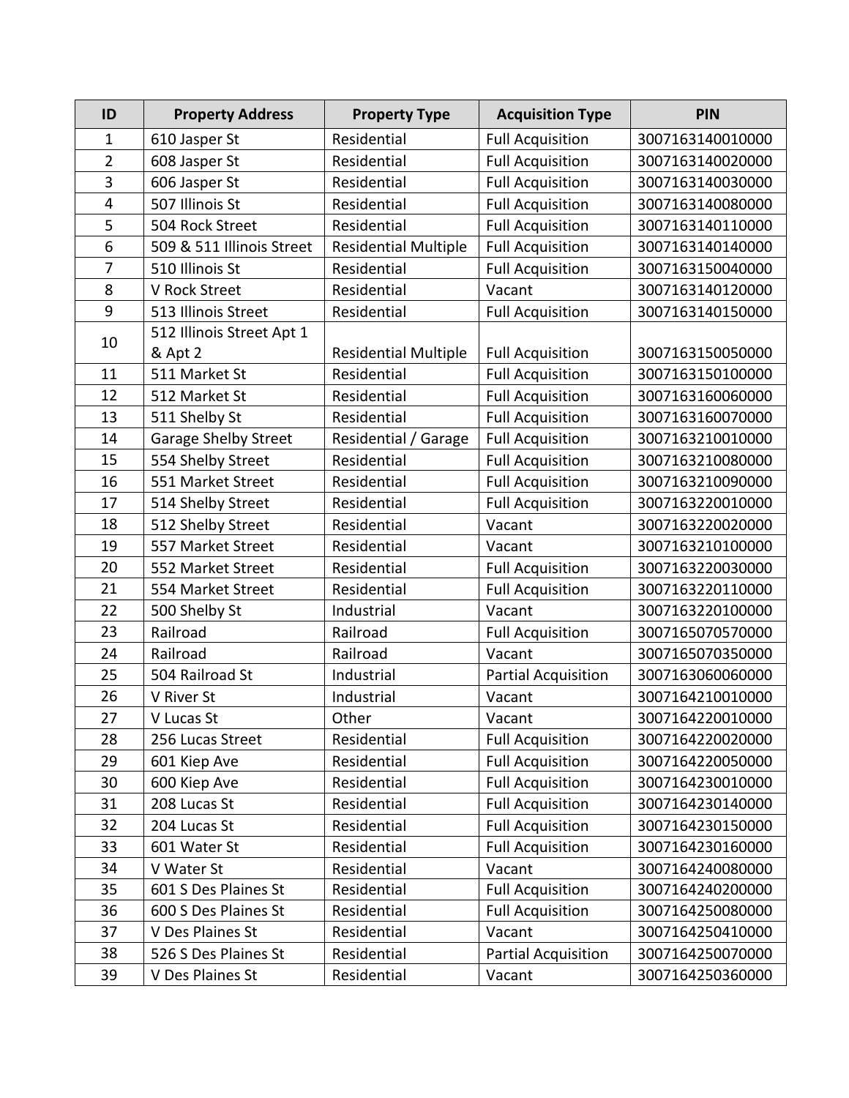| ID             | <b>Property Address</b>     | <b>Property Type</b>        | <b>Acquisition Type</b>    | PIN              |
|----------------|-----------------------------|-----------------------------|----------------------------|------------------|
| $\mathbf 1$    | 610 Jasper St               | Residential                 | <b>Full Acquisition</b>    | 3007163140010000 |
| $\overline{2}$ | 608 Jasper St               | Residential                 | <b>Full Acquisition</b>    | 3007163140020000 |
| 3              | 606 Jasper St               | Residential                 | <b>Full Acquisition</b>    | 3007163140030000 |
| 4              | 507 Illinois St             | Residential                 | <b>Full Acquisition</b>    | 3007163140080000 |
| 5              | 504 Rock Street             | Residential                 | <b>Full Acquisition</b>    | 3007163140110000 |
| 6              | 509 & 511 Illinois Street   | <b>Residential Multiple</b> | <b>Full Acquisition</b>    | 3007163140140000 |
| 7              | 510 Illinois St             | Residential                 | <b>Full Acquisition</b>    | 3007163150040000 |
| 8              | <b>V Rock Street</b>        | Residential                 | Vacant                     | 3007163140120000 |
| 9              | 513 Illinois Street         | Residential                 | <b>Full Acquisition</b>    | 3007163140150000 |
| 10             | 512 Illinois Street Apt 1   |                             |                            |                  |
|                | & Apt 2                     | <b>Residential Multiple</b> | <b>Full Acquisition</b>    | 3007163150050000 |
| 11             | 511 Market St               | Residential                 | <b>Full Acquisition</b>    | 3007163150100000 |
| 12             | 512 Market St               | Residential                 | <b>Full Acquisition</b>    | 3007163160060000 |
| 13             | 511 Shelby St               | Residential                 | <b>Full Acquisition</b>    | 3007163160070000 |
| 14             | <b>Garage Shelby Street</b> | Residential / Garage        | <b>Full Acquisition</b>    | 3007163210010000 |
| 15             | 554 Shelby Street           | Residential                 | <b>Full Acquisition</b>    | 3007163210080000 |
| 16             | 551 Market Street           | Residential                 | <b>Full Acquisition</b>    | 3007163210090000 |
| 17             | 514 Shelby Street           | Residential                 | <b>Full Acquisition</b>    | 3007163220010000 |
| 18             | 512 Shelby Street           | Residential                 | Vacant                     | 3007163220020000 |
| 19             | 557 Market Street           | Residential                 | Vacant                     | 3007163210100000 |
| 20             | 552 Market Street           | Residential                 | <b>Full Acquisition</b>    | 3007163220030000 |
| 21             | 554 Market Street           | Residential                 | <b>Full Acquisition</b>    | 3007163220110000 |
| 22             | 500 Shelby St               | Industrial                  | Vacant                     | 3007163220100000 |
| 23             | Railroad                    | Railroad                    | <b>Full Acquisition</b>    | 3007165070570000 |
| 24             | Railroad                    | Railroad                    | Vacant                     | 3007165070350000 |
| 25             | 504 Railroad St             | Industrial                  | <b>Partial Acquisition</b> | 3007163060060000 |
| 26             | V River St                  | Industrial                  | Vacant                     | 3007164210010000 |
| 27             | V Lucas St                  | Other                       | Vacant                     | 3007164220010000 |
| 28             | 256 Lucas Street            | Residential                 | <b>Full Acquisition</b>    | 3007164220020000 |
| 29             | 601 Kiep Ave                | Residential                 | <b>Full Acquisition</b>    | 3007164220050000 |
| 30             | 600 Kiep Ave                | Residential                 | <b>Full Acquisition</b>    | 3007164230010000 |
| 31             | 208 Lucas St                | Residential                 | <b>Full Acquisition</b>    | 3007164230140000 |
| 32             | 204 Lucas St                | Residential                 | <b>Full Acquisition</b>    | 3007164230150000 |
| 33             | 601 Water St                | Residential                 | <b>Full Acquisition</b>    | 3007164230160000 |
| 34             | V Water St                  | Residential                 | Vacant                     | 3007164240080000 |
| 35             | 601 S Des Plaines St        | Residential                 | <b>Full Acquisition</b>    | 3007164240200000 |
| 36             | 600 S Des Plaines St        | Residential                 | <b>Full Acquisition</b>    | 3007164250080000 |
| 37             | V Des Plaines St            | Residential                 | Vacant                     | 3007164250410000 |
| 38             | 526 S Des Plaines St        | Residential                 | <b>Partial Acquisition</b> | 3007164250070000 |
| 39             | V Des Plaines St            | Residential                 | Vacant                     | 3007164250360000 |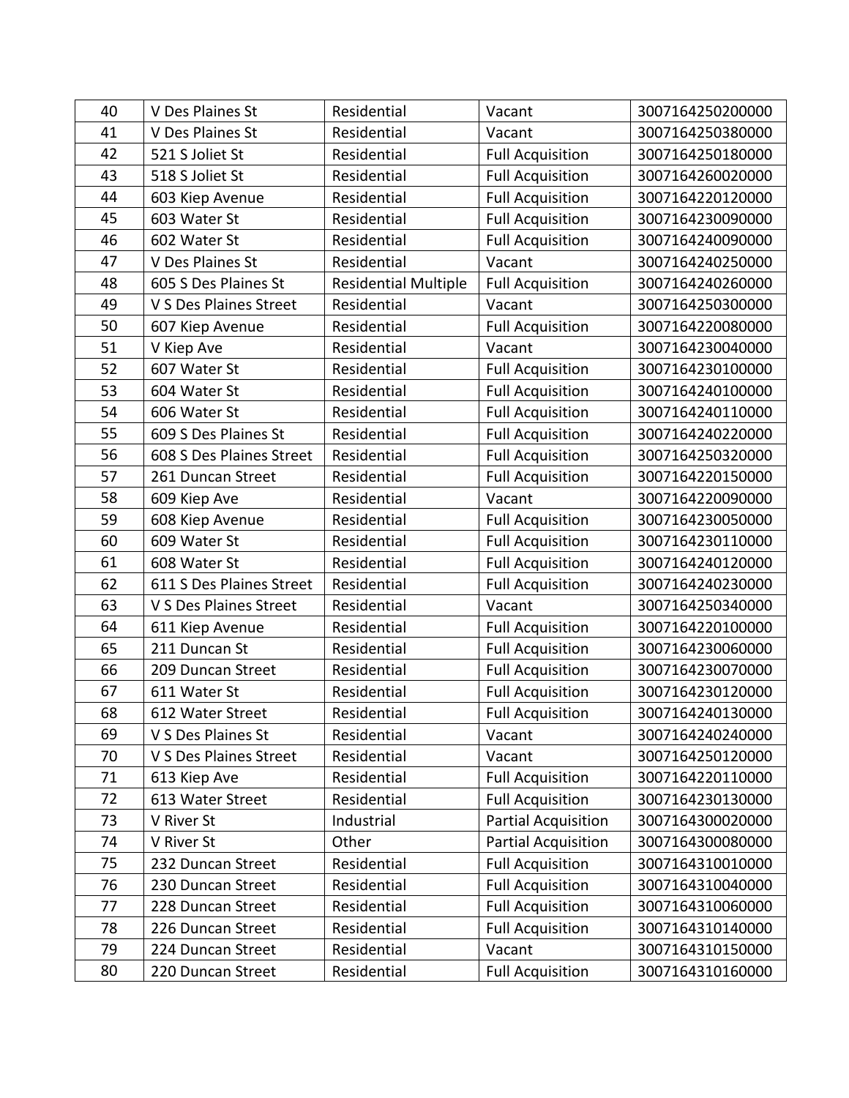| 40 | V Des Plaines St         | Residential                 | Vacant                     | 3007164250200000 |
|----|--------------------------|-----------------------------|----------------------------|------------------|
| 41 | V Des Plaines St         | Residential                 | Vacant                     | 3007164250380000 |
| 42 | 521 S Joliet St          | Residential                 | <b>Full Acquisition</b>    | 3007164250180000 |
| 43 | 518 S Joliet St          | Residential                 | <b>Full Acquisition</b>    | 3007164260020000 |
| 44 | 603 Kiep Avenue          | Residential                 | <b>Full Acquisition</b>    | 3007164220120000 |
| 45 | 603 Water St             | Residential                 | <b>Full Acquisition</b>    | 3007164230090000 |
| 46 | 602 Water St             | Residential                 | <b>Full Acquisition</b>    | 3007164240090000 |
| 47 | V Des Plaines St         | Residential                 | Vacant                     | 3007164240250000 |
| 48 | 605 S Des Plaines St     | <b>Residential Multiple</b> | <b>Full Acquisition</b>    | 3007164240260000 |
| 49 | V S Des Plaines Street   | Residential                 | Vacant                     | 3007164250300000 |
| 50 | 607 Kiep Avenue          | Residential                 | <b>Full Acquisition</b>    | 3007164220080000 |
| 51 | V Kiep Ave               | Residential                 | Vacant                     | 3007164230040000 |
| 52 | 607 Water St             | Residential                 | <b>Full Acquisition</b>    | 3007164230100000 |
| 53 | 604 Water St             | Residential                 | <b>Full Acquisition</b>    | 3007164240100000 |
| 54 | 606 Water St             | Residential                 | <b>Full Acquisition</b>    | 3007164240110000 |
| 55 | 609 S Des Plaines St     | Residential                 | <b>Full Acquisition</b>    | 3007164240220000 |
| 56 | 608 S Des Plaines Street | Residential                 | <b>Full Acquisition</b>    | 3007164250320000 |
| 57 | 261 Duncan Street        | Residential                 | <b>Full Acquisition</b>    | 3007164220150000 |
| 58 | 609 Kiep Ave             | Residential                 | Vacant                     | 3007164220090000 |
| 59 | 608 Kiep Avenue          | Residential                 | <b>Full Acquisition</b>    | 3007164230050000 |
| 60 | 609 Water St             | Residential                 | <b>Full Acquisition</b>    | 3007164230110000 |
| 61 | 608 Water St             | Residential                 | <b>Full Acquisition</b>    | 3007164240120000 |
| 62 | 611 S Des Plaines Street | Residential                 | <b>Full Acquisition</b>    | 3007164240230000 |
| 63 | V S Des Plaines Street   | Residential                 | Vacant                     | 3007164250340000 |
| 64 | 611 Kiep Avenue          | Residential                 | <b>Full Acquisition</b>    | 3007164220100000 |
| 65 | 211 Duncan St            | Residential                 | <b>Full Acquisition</b>    | 3007164230060000 |
| 66 | 209 Duncan Street        | Residential                 | <b>Full Acquisition</b>    | 3007164230070000 |
| 67 | 611 Water St             | Residential                 | <b>Full Acquisition</b>    | 3007164230120000 |
| 68 | 612 Water Street         | Residential                 | <b>Full Acquisition</b>    | 3007164240130000 |
| 69 | V S Des Plaines St       | Residential                 | Vacant                     | 3007164240240000 |
| 70 | V S Des Plaines Street   | Residential                 | Vacant                     | 3007164250120000 |
| 71 | 613 Kiep Ave             | Residential                 | <b>Full Acquisition</b>    | 3007164220110000 |
| 72 | 613 Water Street         | Residential                 | <b>Full Acquisition</b>    | 3007164230130000 |
| 73 | V River St               | Industrial                  | <b>Partial Acquisition</b> | 3007164300020000 |
| 74 | V River St               | Other                       | Partial Acquisition        | 3007164300080000 |
| 75 | 232 Duncan Street        | Residential                 | <b>Full Acquisition</b>    | 3007164310010000 |
| 76 | 230 Duncan Street        | Residential                 | <b>Full Acquisition</b>    | 3007164310040000 |
| 77 | 228 Duncan Street        | Residential                 | <b>Full Acquisition</b>    | 3007164310060000 |
| 78 | 226 Duncan Street        | Residential                 | <b>Full Acquisition</b>    | 3007164310140000 |
| 79 | 224 Duncan Street        | Residential                 | Vacant                     | 3007164310150000 |
| 80 | 220 Duncan Street        | Residential                 | <b>Full Acquisition</b>    | 3007164310160000 |